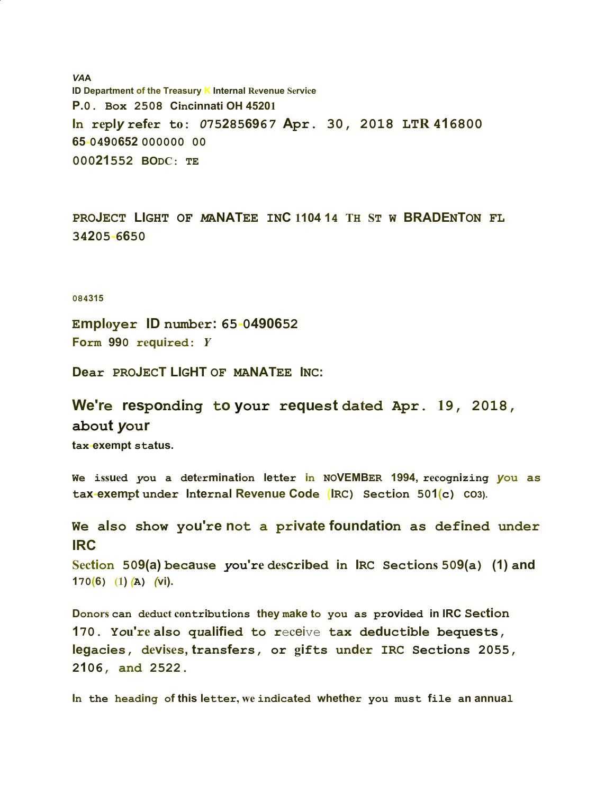*VA***A ID Department of the Treasury K Internal Revenue Service P.0. Box 2508 Cincinnati OH 45201** In reply refer to:  $0752856967$  Apr. 30, 2018 LTR 416800 **65-0490652 000000 00 00021552 BODC: TE**

PROJECT LIGHT OF MANATEE INC 1104 14 TH ST W BRADENTON FL **34205-6650**

## **084315**

**Employer ID number: 65-0490652 Form 990 required:** *Y*

**Dear PROJECT LIGHT OF MANATEE INC:**

**We're responding to your request dated Apr. 19, 2018, about** *y***our tax-exempt status.**

We issued you a determination letter in NOVEMBER 1994, recognizing you as **tax-exempt under Internal Revenue Code (IRC) Section 501(c) CO3).**

**We also show you're not a private foundation as defined under IRC**

Section 509(a) because you're described in IRC Sections 509(a) (1) and **170(6) (1)** *(***A)** *(***vi).**

Donors can deduct contributions they make to you as provided in IRC Section 170. You're also qualified to receive tax deductible bequests, legacies, devises, transfers, or gifts under IRC Sections 2055, **2106, and 2522.**

In the heading of this letter, we indicated whether you must file an annual